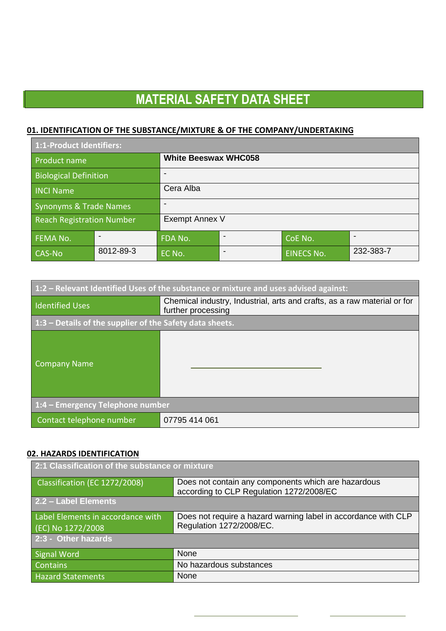### **01. IDENTIFICATION OF THE SUBSTANCE/MIXTURE & OF THE COMPANY/UNDERTAKING**

| 1:1-Product Identifiers:         |           |                             |  |                   |           |
|----------------------------------|-----------|-----------------------------|--|-------------------|-----------|
| Product name                     |           | <b>White Beeswax WHC058</b> |  |                   |           |
| <b>Biological Definition</b>     |           |                             |  |                   |           |
| <b>INCI Name</b>                 |           | Cera Alba                   |  |                   |           |
| Synonyms & Trade Names           |           |                             |  |                   |           |
| <b>Reach Registration Number</b> |           | Exempt Annex V              |  |                   |           |
| <b>FEMA No.</b>                  |           | FDA No.                     |  | CoE No.           |           |
| CAS-No                           | 8012-89-3 | EC No.                      |  | <b>EINECS No.</b> | 232-383-7 |

| $\mid$ 1:2 – Relevant Identified Uses of the substance or mixture and uses advised against: |                                                                                                |  |
|---------------------------------------------------------------------------------------------|------------------------------------------------------------------------------------------------|--|
| <b>Identified Uses</b>                                                                      | Chemical industry, Industrial, arts and crafts, as a raw material or for<br>further processing |  |
| $1:3$ – Details of the supplier of the Safety data sheets.                                  |                                                                                                |  |
| Company Name                                                                                |                                                                                                |  |
| $1:4$ – Emergency Telephone number                                                          |                                                                                                |  |
| Contact telephone number                                                                    | 07795 414 061                                                                                  |  |

#### **02. HAZARDS IDENTIFICATION**

| 2:1 Classification of the substance or mixture         |                                                                                                 |  |
|--------------------------------------------------------|-------------------------------------------------------------------------------------------------|--|
| Classification (EC 1272/2008)                          | Does not contain any components which are hazardous<br>according to CLP Regulation 1272/2008/EC |  |
| 2.2 - Label Elements                                   |                                                                                                 |  |
| Label Elements in accordance with<br>(EC) No 1272/2008 | Does not require a hazard warning label in accordance with CLP<br>Regulation 1272/2008/EC.      |  |
| 2:3 - Other hazards                                    |                                                                                                 |  |
| <b>Signal Word</b>                                     | None                                                                                            |  |
| <b>Contains</b>                                        | No hazardous substances                                                                         |  |
| <b>Hazard Statements</b>                               | None                                                                                            |  |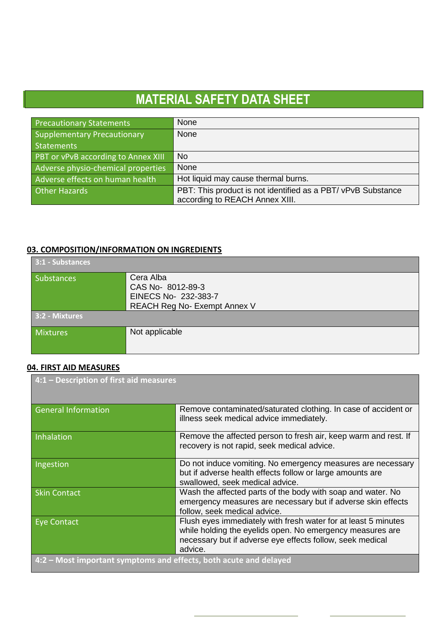| <b>Precautionary Statements</b>     | None                                                        |
|-------------------------------------|-------------------------------------------------------------|
| <b>Supplementary Precautionary</b>  | None                                                        |
| <b>Statements</b>                   |                                                             |
| PBT or vPvB according to Annex XIII | <b>No</b>                                                   |
| Adverse physio-chemical properties  | None                                                        |
| Adverse effects on human health     | Hot liquid may cause thermal burns.                         |
| <b>Other Hazards</b>                | PBT: This product is not identified as a PBT/vPvB Substance |
|                                     | according to REACH Annex XIII.                              |

### **03. COMPOSITION/INFORMATION ON INGREDIENTS**

| 3:1 - Substances  |                                                                                              |
|-------------------|----------------------------------------------------------------------------------------------|
| <b>Substances</b> | Cera Alba<br>CAS No-8012-89-3<br>EINECS No- 232-383-7<br><b>REACH Reg No- Exempt Annex V</b> |
| 3:2 - Mixtures    |                                                                                              |
| Mixtures          | Not applicable                                                                               |

## **04. FIRST AID MEASURES**

| 4:1 - Description of first aid measures                           |                                                                                                                                                                                                     |  |
|-------------------------------------------------------------------|-----------------------------------------------------------------------------------------------------------------------------------------------------------------------------------------------------|--|
| <b>General Information</b>                                        | Remove contaminated/saturated clothing. In case of accident or<br>illness seek medical advice immediately.                                                                                          |  |
| Inhalation                                                        | Remove the affected person to fresh air, keep warm and rest. If<br>recovery is not rapid, seek medical advice.                                                                                      |  |
| Ingestion                                                         | Do not induce vomiting. No emergency measures are necessary<br>but if adverse health effects follow or large amounts are<br>swallowed, seek medical advice.                                         |  |
| <b>Skin Contact</b>                                               | Wash the affected parts of the body with soap and water. No<br>emergency measures are necessary but if adverse skin effects<br>follow, seek medical advice.                                         |  |
| Eye Contact                                                       | Flush eyes immediately with fresh water for at least 5 minutes<br>while holding the eyelids open. No emergency measures are<br>necessary but if adverse eye effects follow, seek medical<br>advice. |  |
| 4:2 – Most important symptoms and effects, both acute and delayed |                                                                                                                                                                                                     |  |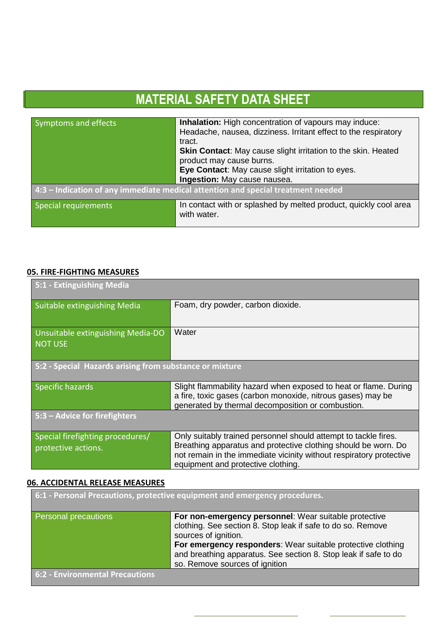| Symptoms and effects | <b>Inhalation:</b> High concentration of vapours may induce:                     |
|----------------------|----------------------------------------------------------------------------------|
|                      | Headache, nausea, dizziness. Irritant effect to the respiratory                  |
|                      | tract.                                                                           |
|                      | <b>Skin Contact:</b> May cause slight irritation to the skin. Heated             |
|                      | product may cause burns.                                                         |
|                      | Eye Contact: May cause slight irritation to eyes.                                |
|                      | Ingestion: May cause nausea.                                                     |
|                      | 4:3 - Indication of any immediate medical attention and special treatment needed |
|                      |                                                                                  |
| Special requirements | In contact with or splashed by melted product, quickly cool area                 |
|                      | with water.                                                                      |
|                      |                                                                                  |

#### **05. FIRE-FIGHTING MEASURES**

l

| 5:1 - Extinguishing Media                               |                                                                                                                                                                                                                                                |  |
|---------------------------------------------------------|------------------------------------------------------------------------------------------------------------------------------------------------------------------------------------------------------------------------------------------------|--|
| Suitable extinguishing Media                            | Foam, dry powder, carbon dioxide.                                                                                                                                                                                                              |  |
| Unsuitable extinguishing Media-DO<br><b>NOT USE</b>     | Water                                                                                                                                                                                                                                          |  |
| 5:2 - Special Hazards arising from substance or mixture |                                                                                                                                                                                                                                                |  |
| Specific hazards                                        | Slight flammability hazard when exposed to heat or flame. During<br>a fire, toxic gases (carbon monoxide, nitrous gases) may be<br>generated by thermal decomposition or combustion.                                                           |  |
| 5:3 – Advice for firefighters                           |                                                                                                                                                                                                                                                |  |
| Special firefighting procedures/<br>protective actions. | Only suitably trained personnel should attempt to tackle fires.<br>Breathing apparatus and protective clothing should be worn. Do<br>not remain in the immediate vicinity without respiratory protective<br>equipment and protective clothing. |  |

### **06. ACCIDENTAL RELEASE MEASURES**

|                                        | 6:1 - Personal Precautions, protective equipment and emergency procedures.                                                                                       |
|----------------------------------------|------------------------------------------------------------------------------------------------------------------------------------------------------------------|
| Personal precautions                   | For non-emergency personnel: Wear suitable protective<br>clothing. See section 8. Stop leak if safe to do so. Remove<br>sources of ignition.                     |
|                                        | For emergency responders: Wear suitable protective clothing<br>and breathing apparatus. See section 8. Stop leak if safe to do<br>so. Remove sources of ignition |
| <b>6:2 - Environmental Precautions</b> |                                                                                                                                                                  |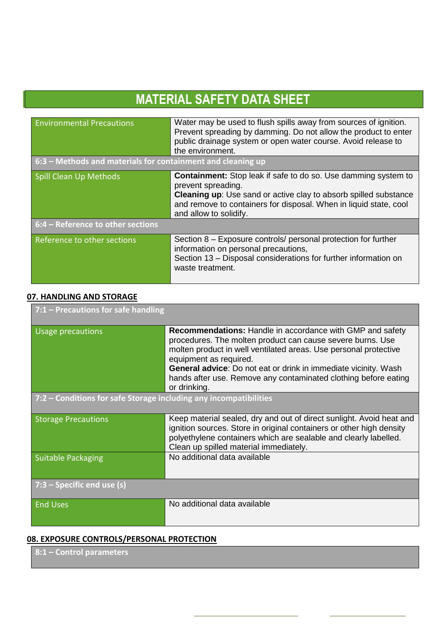| <b>Environmental Precautions</b>                            | Water may be used to flush spills away from sources of ignition.<br>Prevent spreading by damming. Do not allow the product to enter<br>public drainage system or open water course. Avoid release to<br>the environment.                                              |  |
|-------------------------------------------------------------|-----------------------------------------------------------------------------------------------------------------------------------------------------------------------------------------------------------------------------------------------------------------------|--|
| 6:3 – Methods and materials for containment and cleaning up |                                                                                                                                                                                                                                                                       |  |
| <b>Spill Clean Up Methods</b>                               | <b>Containment:</b> Stop leak if safe to do so. Use damming system to<br>prevent spreading.<br><b>Cleaning up:</b> Use sand or active clay to absorb spilled substance<br>and remove to containers for disposal. When in liquid state, cool<br>and allow to solidify. |  |
| 6:4 - Reference to other sections                           |                                                                                                                                                                                                                                                                       |  |
| <b>Reference to other sections</b>                          | Section 8 – Exposure controls/ personal protection for further<br>information on personal precautions,<br>Section 13 - Disposal considerations for further information on<br>waste treatment.                                                                         |  |

## **07. HANDLING AND STORAGE**

l

| $7:1$ – Precautions for safe handling                             |                                                                                                                                                                                                                                                                                                                                                                           |  |
|-------------------------------------------------------------------|---------------------------------------------------------------------------------------------------------------------------------------------------------------------------------------------------------------------------------------------------------------------------------------------------------------------------------------------------------------------------|--|
| Usage precautions                                                 | <b>Recommendations: Handle in accordance with GMP and safety</b><br>procedures. The molten product can cause severe burns. Use<br>molten product in well ventilated areas. Use personal protective<br>equipment as required.<br><b>General advice:</b> Do not eat or drink in immediate vicinity. Wash<br>hands after use. Remove any contaminated clothing before eating |  |
|                                                                   | or drinking.                                                                                                                                                                                                                                                                                                                                                              |  |
| 7:2 – Conditions for safe Storage including any incompatibilities |                                                                                                                                                                                                                                                                                                                                                                           |  |
| <b>Storage Precautions</b>                                        | Keep material sealed, dry and out of direct sunlight. Avoid heat and<br>ignition sources. Store in original containers or other high density<br>polyethylene containers which are sealable and clearly labelled.<br>Clean up spilled material immediately.                                                                                                                |  |
| <b>Suitable Packaging</b>                                         | No additional data available                                                                                                                                                                                                                                                                                                                                              |  |
| $7:3$ – Specific end use (s)                                      |                                                                                                                                                                                                                                                                                                                                                                           |  |
| <b>End Uses</b>                                                   | No additional data available                                                                                                                                                                                                                                                                                                                                              |  |

### **08. EXPOSURE CONTROLS/PERSONAL PROTECTION**

**8:1 – Control parameters**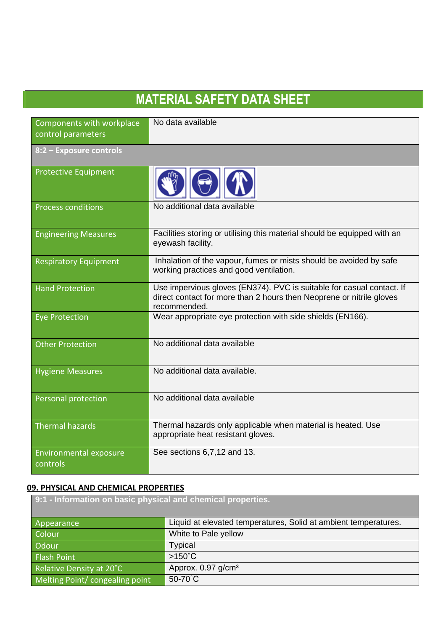| <b>MATERIAL SAFETY DATA SHEET</b>  |                                                                                                                                                               |  |
|------------------------------------|---------------------------------------------------------------------------------------------------------------------------------------------------------------|--|
|                                    |                                                                                                                                                               |  |
| Components with workplace          | No data available                                                                                                                                             |  |
| control parameters                 |                                                                                                                                                               |  |
| 8:2 - Exposure controls            |                                                                                                                                                               |  |
| <b>Protective Equipment</b>        |                                                                                                                                                               |  |
| <b>Process conditions</b>          | No additional data available                                                                                                                                  |  |
| <b>Engineering Measures</b>        | Facilities storing or utilising this material should be equipped with an<br>eyewash facility.                                                                 |  |
| <b>Respiratory Equipment</b>       | Inhalation of the vapour, fumes or mists should be avoided by safe<br>working practices and good ventilation.                                                 |  |
| <b>Hand Protection</b>             | Use impervious gloves (EN374). PVC is suitable for casual contact. If<br>direct contact for more than 2 hours then Neoprene or nitrile gloves<br>recommended. |  |
| <b>Eye Protection</b>              | Wear appropriate eye protection with side shields (EN166).                                                                                                    |  |
| <b>Other Protection</b>            | No additional data available                                                                                                                                  |  |
| <b>Hygiene Measures</b>            | No additional data available.                                                                                                                                 |  |
| Personal protection                | No additional data available                                                                                                                                  |  |
| <b>Thermal hazards</b>             | Thermal hazards only applicable when material is heated. Use<br>appropriate heat resistant gloves.                                                            |  |
| Environmental exposure<br>controls | See sections 6,7,12 and 13.                                                                                                                                   |  |

## **09. PHYSICAL AND CHEMICAL PROPERTIES**

| 9:1 - Information on basic physical and chemical properties. |                                                                 |
|--------------------------------------------------------------|-----------------------------------------------------------------|
| Appearance                                                   | Liquid at elevated temperatures, Solid at ambient temperatures. |
| Colour                                                       | White to Pale yellow                                            |
| Odour                                                        | <b>Typical</b>                                                  |
| Flash Point                                                  | $>150^{\circ}$ C                                                |
| Relative Density at 20°C                                     | Approx. $0.97$ g/cm <sup>3</sup>                                |
| Melting Point/ congealing point                              | 50-70°C                                                         |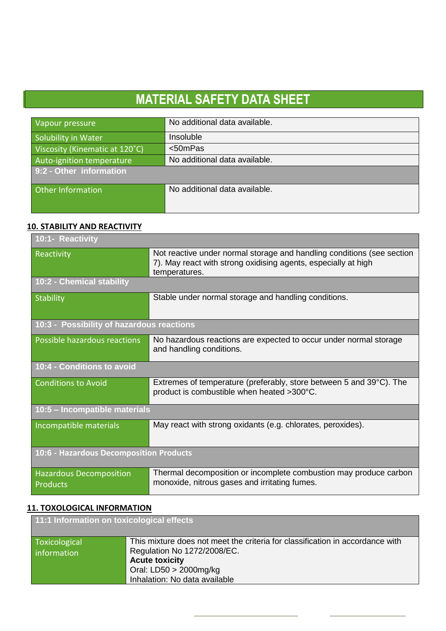| Vapour pressure                | No additional data available. |
|--------------------------------|-------------------------------|
| Solubility in Water            | Insoluble                     |
| Viscosity (Kinematic at 120°C) | $<$ 50mPas                    |
| Auto-ignition temperature      | No additional data available. |
| 9:2 - Other information        |                               |
| Other Information              | No additional data available. |
|                                |                               |

## **10. STABILITY AND REACTIVITY**

l

| 10:1- Reactivity                                  |                                                                                                                                                           |  |
|---------------------------------------------------|-----------------------------------------------------------------------------------------------------------------------------------------------------------|--|
| Reactivity                                        | Not reactive under normal storage and handling conditions (see section<br>7). May react with strong oxidising agents, especially at high<br>temperatures. |  |
| 10:2 - Chemical stability                         |                                                                                                                                                           |  |
| <b>Stability</b>                                  | Stable under normal storage and handling conditions.                                                                                                      |  |
| 10:3 - Possibility of hazardous reactions         |                                                                                                                                                           |  |
| Possible hazardous reactions                      | No hazardous reactions are expected to occur under normal storage<br>and handling conditions.                                                             |  |
| 10:4 - Conditions to avoid                        |                                                                                                                                                           |  |
| <b>Conditions to Avoid</b>                        | Extremes of temperature (preferably, store between 5 and $39^{\circ}$ C). The<br>product is combustible when heated >300°C.                               |  |
| 10:5 - Incompatible materials                     |                                                                                                                                                           |  |
| Incompatible materials                            | May react with strong oxidants (e.g. chlorates, peroxides).                                                                                               |  |
| 10:6 - Hazardous Decomposition Products           |                                                                                                                                                           |  |
| <b>Hazardous Decomposition</b><br><b>Products</b> | Thermal decomposition or incomplete combustion may produce carbon<br>monoxide, nitrous gases and irritating fumes.                                        |  |

## **11. TOXOLOGICAL INFORMATION**

| 11:1 Information on toxicological effects |                                                                                                                                                                                                     |
|-------------------------------------------|-----------------------------------------------------------------------------------------------------------------------------------------------------------------------------------------------------|
| Toxicological<br>information              | This mixture does not meet the criteria for classification in accordance with<br>Regulation No 1272/2008/EC.<br><b>Acute toxicity</b><br>Oral: $LD50 > 2000$ mg/kg<br>Inhalation: No data available |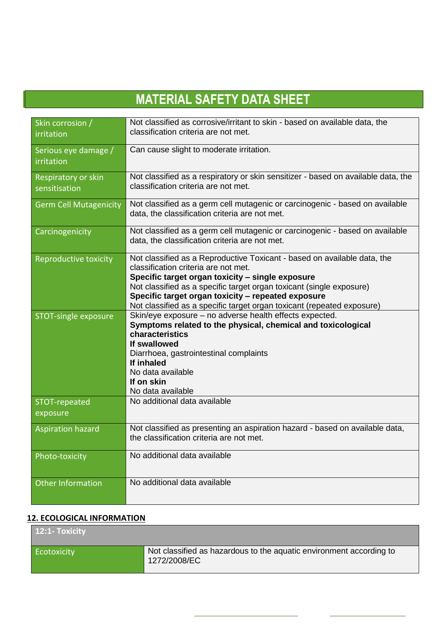| Skin corrosion /<br>irritation       | Not classified as corrosive/irritant to skin - based on available data, the<br>classification criteria are not met.                                                                                                                                                                                                                                                          |
|--------------------------------------|------------------------------------------------------------------------------------------------------------------------------------------------------------------------------------------------------------------------------------------------------------------------------------------------------------------------------------------------------------------------------|
| Serious eye damage /<br>irritation   | Can cause slight to moderate irritation.                                                                                                                                                                                                                                                                                                                                     |
| Respiratory or skin<br>sensitisation | Not classified as a respiratory or skin sensitizer - based on available data, the<br>classification criteria are not met.                                                                                                                                                                                                                                                    |
| <b>Germ Cell Mutagenicity</b>        | Not classified as a germ cell mutagenic or carcinogenic - based on available<br>data, the classification criteria are not met.                                                                                                                                                                                                                                               |
| Carcinogenicity                      | Not classified as a germ cell mutagenic or carcinogenic - based on available<br>data, the classification criteria are not met.                                                                                                                                                                                                                                               |
| Reproductive toxicity                | Not classified as a Reproductive Toxicant - based on available data, the<br>classification criteria are not met.<br>Specific target organ toxicity - single exposure<br>Not classified as a specific target organ toxicant (single exposure)<br>Specific target organ toxicity - repeated exposure<br>Not classified as a specific target organ toxicant (repeated exposure) |
| STOT-single exposure                 | Skin/eye exposure - no adverse health effects expected.<br>Symptoms related to the physical, chemical and toxicological<br>characteristics<br>If swallowed<br>Diarrhoea, gastrointestinal complaints<br>If inhaled<br>No data available<br>If on skin<br>No data available                                                                                                   |
| STOT-repeated<br>exposure            | No additional data available                                                                                                                                                                                                                                                                                                                                                 |
| <b>Aspiration hazard</b>             | Not classified as presenting an aspiration hazard - based on available data,<br>the classification criteria are not met.                                                                                                                                                                                                                                                     |
| Photo-toxicity                       | No additional data available                                                                                                                                                                                                                                                                                                                                                 |
| <b>Other Information</b>             | No additional data available                                                                                                                                                                                                                                                                                                                                                 |

### **12. ECOLOGICAL INFORMATION**

Г

l

| 12:1- Toxicity |                                                                                     |
|----------------|-------------------------------------------------------------------------------------|
| Ecotoxicity    | Not classified as hazardous to the aquatic environment according to<br>1272/2008/EC |

۰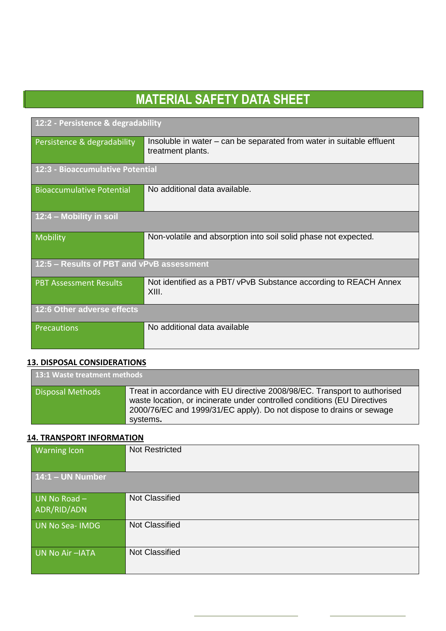| 12:2 - Persistence & degradability        |                                                                                            |  |
|-------------------------------------------|--------------------------------------------------------------------------------------------|--|
| Persistence & degradability               | Insoluble in water – can be separated from water in suitable effluent<br>treatment plants. |  |
| 12:3 - Bioaccumulative Potential          |                                                                                            |  |
| <b>Bioaccumulative Potential</b>          | No additional data available.                                                              |  |
| 12:4 - Mobility in soil                   |                                                                                            |  |
| Mobility                                  | Non-volatile and absorption into soil solid phase not expected.                            |  |
| 12:5 - Results of PBT and vPvB assessment |                                                                                            |  |
| <b>PBT Assessment Results</b>             | Not identified as a PBT/ vPvB Substance according to REACH Annex<br>XIII.                  |  |
| 12:6 Other adverse effects                |                                                                                            |  |
| Precautions                               | No additional data available                                                               |  |

#### **13. DISPOSAL CONSIDERATIONS**

l

| 13:1 Waste treatment methods |                                                                                                                                                                                                                                           |
|------------------------------|-------------------------------------------------------------------------------------------------------------------------------------------------------------------------------------------------------------------------------------------|
| <b>Disposal Methods</b>      | Treat in accordance with EU directive 2008/98/EC. Transport to authorised<br>waste location, or incinerate under controlled conditions (EU Directives<br>2000/76/EC and 1999/31/EC apply). Do not dispose to drains or sewage<br>systems. |

### **14. TRANSPORT INFORMATION**

| <b>Warning Icon</b>           | <b>Not Restricted</b> |
|-------------------------------|-----------------------|
| 14:1 - UN Number              |                       |
| UN No Road $-$<br>ADR/RID/ADN | <b>Not Classified</b> |
| UN No Sea-IMDG                | <b>Not Classified</b> |
| UN No Air-IATA                | <b>Not Classified</b> |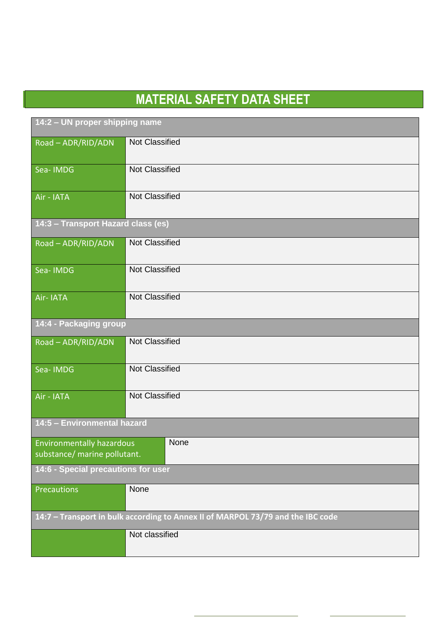| 14:2 - UN proper shipping name                                                  |                       |  |
|---------------------------------------------------------------------------------|-----------------------|--|
| Road - ADR/RID/ADN                                                              | <b>Not Classified</b> |  |
| Sea-IMDG                                                                        | <b>Not Classified</b> |  |
| Air - IATA                                                                      | <b>Not Classified</b> |  |
| 14:3 - Transport Hazard class (es)                                              |                       |  |
| Road - ADR/RID/ADN                                                              | <b>Not Classified</b> |  |
| Sea-IMDG                                                                        | <b>Not Classified</b> |  |
| Air-IATA                                                                        | <b>Not Classified</b> |  |
| 14:4 - Packaging group                                                          |                       |  |
| Road - ADR/RID/ADN                                                              | <b>Not Classified</b> |  |
| Sea-IMDG                                                                        | <b>Not Classified</b> |  |
| Air - IATA                                                                      | <b>Not Classified</b> |  |
| 14:5 - Environmental hazard                                                     |                       |  |
| None<br><b>Environmentally hazardous</b><br>substance/ marine pollutant.        |                       |  |
| 14:6 - Special precautions for user                                             |                       |  |
| Precautions                                                                     | None                  |  |
| 14:7 - Transport in bulk according to Annex II of MARPOL 73/79 and the IBC code |                       |  |
|                                                                                 | Not classified        |  |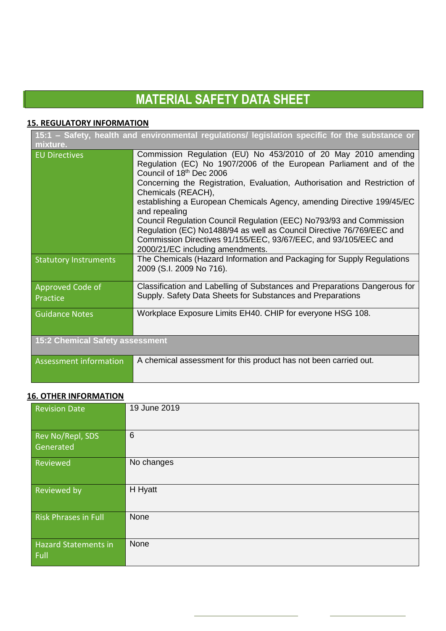#### **15. REGULATORY INFORMATION**

l

| 15:1 - Safety, health and environmental regulations/ legislation specific for the substance or<br>mixture. |                                                                                                                                                                                                                                                     |
|------------------------------------------------------------------------------------------------------------|-----------------------------------------------------------------------------------------------------------------------------------------------------------------------------------------------------------------------------------------------------|
| <b>EU Directives</b>                                                                                       | Commission Regulation (EU) No 453/2010 of 20 May 2010 amending<br>Regulation (EC) No 1907/2006 of the European Parliament and of the<br>Council of 18 <sup>th</sup> Dec 2006                                                                        |
|                                                                                                            | Concerning the Registration, Evaluation, Authorisation and Restriction of<br>Chemicals (REACH),                                                                                                                                                     |
|                                                                                                            | establishing a European Chemicals Agency, amending Directive 199/45/EC<br>and repealing                                                                                                                                                             |
|                                                                                                            | Council Regulation Council Regulation (EEC) No793/93 and Commission<br>Regulation (EC) No1488/94 as well as Council Directive 76/769/EEC and<br>Commission Directives 91/155/EEC, 93/67/EEC, and 93/105/EEC and<br>2000/21/EC including amendments. |
| <b>Statutory Instruments</b>                                                                               | The Chemicals (Hazard Information and Packaging for Supply Regulations<br>2009 (S.I. 2009 No 716).                                                                                                                                                  |
| Approved Code of<br>Practice                                                                               | Classification and Labelling of Substances and Preparations Dangerous for<br>Supply. Safety Data Sheets for Substances and Preparations                                                                                                             |
| <b>Guidance Notes</b>                                                                                      | Workplace Exposure Limits EH40. CHIP for everyone HSG 108.                                                                                                                                                                                          |
| <b>15:2 Chemical Safety assessment</b>                                                                     |                                                                                                                                                                                                                                                     |
| Assessment information                                                                                     | A chemical assessment for this product has not been carried out.                                                                                                                                                                                    |

### **16. OTHER INFORMATION**

| <b>Revision Date</b>                | 19 June 2019    |
|-------------------------------------|-----------------|
| Rev No/Repl, SDS<br>Generated       | $6\phantom{1}6$ |
| Reviewed                            | No changes      |
| Reviewed by                         | H Hyatt         |
| <b>Risk Phrases in Full</b>         | None            |
| <b>Hazard Statements in</b><br>Full | None            |